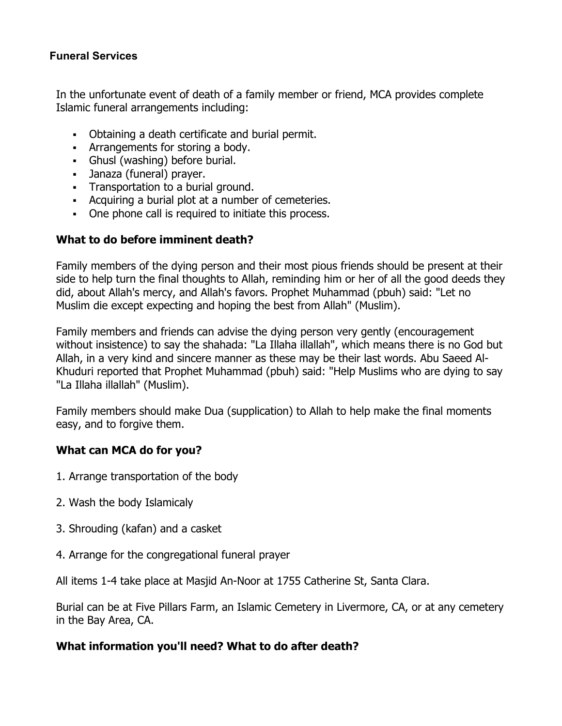## **Funeral Services**

In the unfortunate event of death of a family member or friend, MCA provides complete Islamic funeral arrangements including:

- Obtaining a death certificate and burial permit.
- Arrangements for storing a body.
- Ghusl (washing) before burial.
- Janaza (funeral) prayer.
- § Transportation to a burial ground.
- Acquiring a burial plot at a number of cemeteries.
- One phone call is required to initiate this process.

## **What to do before imminent death?**

Family members of the dying person and their most pious friends should be present at their side to help turn the final thoughts to Allah, reminding him or her of all the good deeds they did, about Allah's mercy, and Allah's favors. Prophet Muhammad (pbuh) said: "Let no Muslim die except expecting and hoping the best from Allah" (Muslim).

Family members and friends can advise the dying person very gently (encouragement without insistence) to say the shahada: "La Illaha illallah", which means there is no God but Allah, in a very kind and sincere manner as these may be their last words. Abu Saeed Al-Khuduri reported that Prophet Muhammad (pbuh) said: "Help Muslims who are dying to say "La Illaha illallah" (Muslim).

Family members should make Dua (supplication) to Allah to help make the final moments easy, and to forgive them.

## **What can MCA do for you?**

- 1. Arrange transportation of the body
- 2. Wash the body Islamicaly
- 3. Shrouding (kafan) and a casket
- 4. Arrange for the congregational funeral prayer

All items 1-4 take place at Masjid An-Noor at 1755 Catherine St, Santa Clara.

Burial can be at Five Pillars Farm, an Islamic Cemetery in Livermore, CA, or at any cemetery in the Bay Area, CA.

## **What information you'll need? What to do after death?**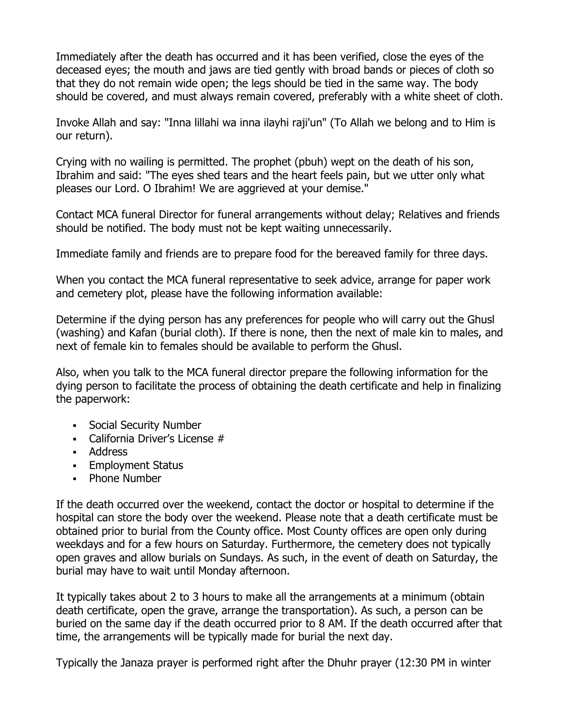Immediately after the death has occurred and it has been verified, close the eyes of the deceased eyes; the mouth and jaws are tied gently with broad bands or pieces of cloth so that they do not remain wide open; the legs should be tied in the same way. The body should be covered, and must always remain covered, preferably with a white sheet of cloth.

Invoke Allah and say: "Inna lillahi wa inna ilayhi raji'un" (To Allah we belong and to Him is our return).

Crying with no wailing is permitted. The prophet (pbuh) wept on the death of his son, Ibrahim and said: "The eyes shed tears and the heart feels pain, but we utter only what pleases our Lord. O Ibrahim! We are aggrieved at your demise."

Contact MCA funeral Director for funeral arrangements without delay; Relatives and friends should be notified. The body must not be kept waiting unnecessarily.

Immediate family and friends are to prepare food for the bereaved family for three days.

When you contact the MCA funeral representative to seek advice, arrange for paper work and cemetery plot, please have the following information available:

Determine if the dying person has any preferences for people who will carry out the Ghusl (washing) and Kafan (burial cloth). If there is none, then the next of male kin to males, and next of female kin to females should be available to perform the Ghusl.

Also, when you talk to the MCA funeral director prepare the following information for the dying person to facilitate the process of obtaining the death certificate and help in finalizing the paperwork:

- § Social Security Number
- California Driver's License #
- Address
- § Employment Status
- § Phone Number

If the death occurred over the weekend, contact the doctor or hospital to determine if the hospital can store the body over the weekend. Please note that a death certificate must be obtained prior to burial from the County office. Most County offices are open only during weekdays and for a few hours on Saturday. Furthermore, the cemetery does not typically open graves and allow burials on Sundays. As such, in the event of death on Saturday, the burial may have to wait until Monday afternoon.

It typically takes about 2 to 3 hours to make all the arrangements at a minimum (obtain death certificate, open the grave, arrange the transportation). As such, a person can be buried on the same day if the death occurred prior to 8 AM. If the death occurred after that time, the arrangements will be typically made for burial the next day.

Typically the Janaza prayer is performed right after the Dhuhr prayer (12:30 PM in winter